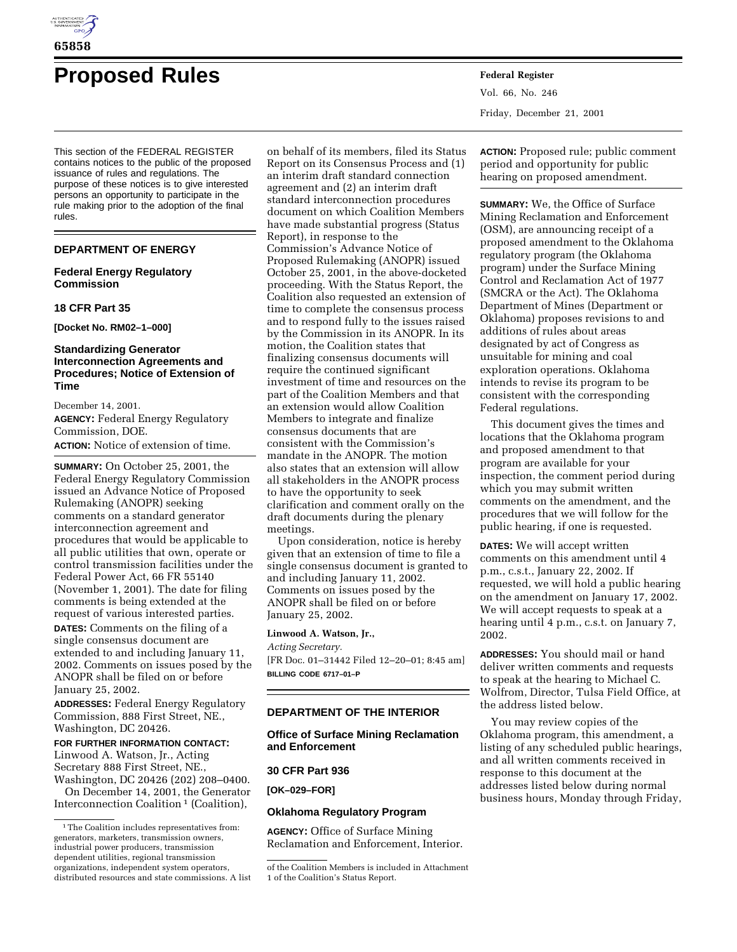

# **Proposed Rules Federal Register**

This section of the FEDERAL REGISTER contains notices to the public of the proposed issuance of rules and regulations. The purpose of these notices is to give interested persons an opportunity to participate in the rule making prior to the adoption of the final rules.

# **DEPARTMENT OF ENERGY**

## **Federal Energy Regulatory Commission**

#### **18 CFR Part 35**

**[Docket No. RM02–1–000]**

# **Standardizing Generator Interconnection Agreements and Procedures; Notice of Extension of Time**

December 14, 2001. **AGENCY:** Federal Energy Regulatory Commission, DOE. **ACTION:** Notice of extension of time.

**SUMMARY:** On October 25, 2001, the Federal Energy Regulatory Commission issued an Advance Notice of Proposed Rulemaking (ANOPR) seeking comments on a standard generator interconnection agreement and procedures that would be applicable to all public utilities that own, operate or control transmission facilities under the Federal Power Act, 66 FR 55140 (November 1, 2001). The date for filing comments is being extended at the request of various interested parties.

**DATES:** Comments on the filing of a single consensus document are extended to and including January 11, 2002. Comments on issues posed by the ANOPR shall be filed on or before January 25, 2002.

**ADDRESSES:** Federal Energy Regulatory Commission, 888 First Street, NE., Washington, DC 20426.

## **FOR FURTHER INFORMATION CONTACT:**

Linwood A. Watson, Jr., Acting Secretary 888 First Street, NE., Washington, DC 20426 (202) 208–0400.

On December 14, 2001, the Generator Interconnection Coalition 1 (Coalition),

on behalf of its members, filed its Status Report on its Consensus Process and (1) an interim draft standard connection agreement and (2) an interim draft standard interconnection procedures document on which Coalition Members have made substantial progress (Status Report), in response to the Commission's Advance Notice of Proposed Rulemaking (ANOPR) issued October 25, 2001, in the above-docketed proceeding. With the Status Report, the Coalition also requested an extension of time to complete the consensus process and to respond fully to the issues raised by the Commission in its ANOPR. In its motion, the Coalition states that finalizing consensus documents will require the continued significant investment of time and resources on the part of the Coalition Members and that an extension would allow Coalition Members to integrate and finalize consensus documents that are consistent with the Commission's mandate in the ANOPR. The motion also states that an extension will allow all stakeholders in the ANOPR process to have the opportunity to seek clarification and comment orally on the draft documents during the plenary meetings.

Upon consideration, notice is hereby given that an extension of time to file a single consensus document is granted to and including January 11, 2002. Comments on issues posed by the ANOPR shall be filed on or before January 25, 2002.

## **Linwood A. Watson, Jr.,**

*Acting Secretary.*

[FR Doc. 01–31442 Filed 12–20–01; 8:45 am] **BILLING CODE 6717–01–P**

## **DEPARTMENT OF THE INTERIOR**

# **Office of Surface Mining Reclamation and Enforcement**

#### **30 CFR Part 936**

**[OK–029–FOR]**

## **Oklahoma Regulatory Program**

**AGENCY:** Office of Surface Mining Reclamation and Enforcement, Interior. Vol. 66, No. 246 Friday, December 21, 2001

**ACTION:** Proposed rule; public comment period and opportunity for public hearing on proposed amendment.

**SUMMARY:** We, the Office of Surface Mining Reclamation and Enforcement (OSM), are announcing receipt of a proposed amendment to the Oklahoma regulatory program (the Oklahoma program) under the Surface Mining Control and Reclamation Act of 1977 (SMCRA or the Act). The Oklahoma Department of Mines (Department or Oklahoma) proposes revisions to and additions of rules about areas designated by act of Congress as unsuitable for mining and coal exploration operations. Oklahoma intends to revise its program to be consistent with the corresponding Federal regulations.

This document gives the times and locations that the Oklahoma program and proposed amendment to that program are available for your inspection, the comment period during which you may submit written comments on the amendment, and the procedures that we will follow for the public hearing, if one is requested.

**DATES:** We will accept written comments on this amendment until 4 p.m., c.s.t., January 22, 2002. If requested, we will hold a public hearing on the amendment on January 17, 2002. We will accept requests to speak at a hearing until 4 p.m., c.s.t. on January 7, 2002.

**ADDRESSES:** You should mail or hand deliver written comments and requests to speak at the hearing to Michael C. Wolfrom, Director, Tulsa Field Office, at the address listed below.

You may review copies of the Oklahoma program, this amendment, a listing of any scheduled public hearings, and all written comments received in response to this document at the addresses listed below during normal business hours, Monday through Friday,

<sup>1</sup>The Coalition includes representatives from: generators, marketers, transmission owners, industrial power producers, transmission dependent utilities, regional transmission organizations, independent system operators, distributed resources and state commissions. A list

of the Coalition Members is included in Attachment 1 of the Coalition's Status Report.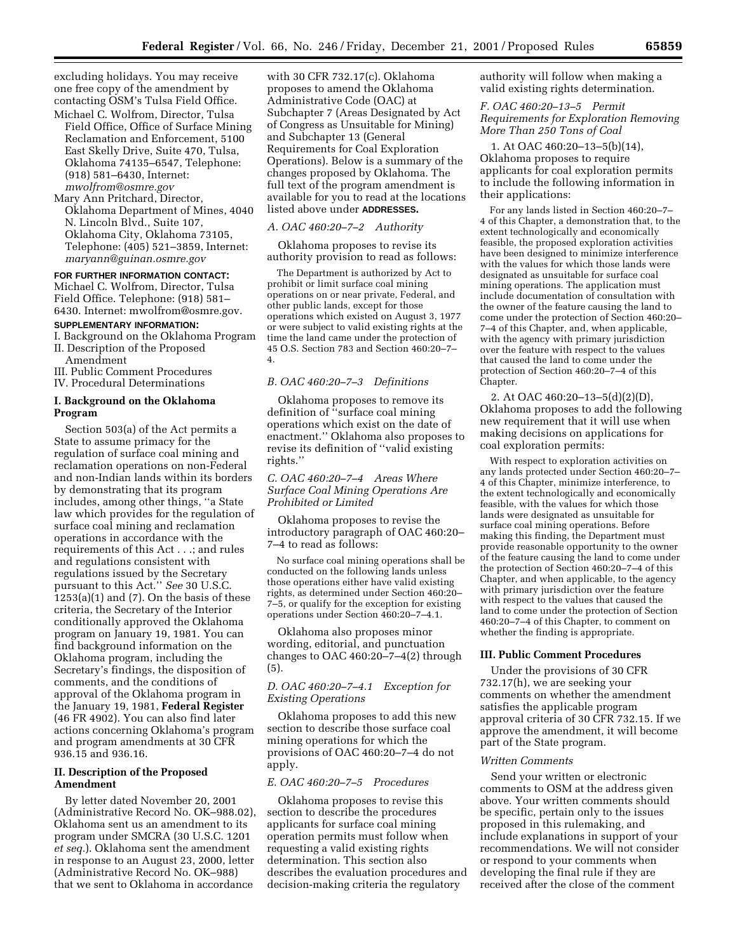excluding holidays. You may receive one free copy of the amendment by contacting OSM's Tulsa Field Office. Michael C. Wolfrom, Director, Tulsa

Field Office, Office of Surface Mining Reclamation and Enforcement, 5100 East Skelly Drive, Suite 470, Tulsa, Oklahoma 74135–6547, Telephone: (918) 581–6430, Internet: *mwolfrom@osmre.gov*

Mary Ann Pritchard, Director, Oklahoma Department of Mines, 4040 N. Lincoln Blvd., Suite 107, Oklahoma City, Oklahoma 73105, Telephone: (405) 521–3859, Internet: *maryann@guinan.osmre.gov*

#### **FOR FURTHER INFORMATION CONTACT:**

Michael C. Wolfrom, Director, Tulsa Field Office. Telephone: (918) 581– 6430. Internet: mwolfrom@osmre.gov.

#### **SUPPLEMENTARY INFORMATION:**

I. Background on the Oklahoma Program II. Description of the Proposed

- Amendment
- III. Public Comment Procedures
- IV. Procedural Determinations

## **I. Background on the Oklahoma Program**

Section 503(a) of the Act permits a State to assume primacy for the regulation of surface coal mining and reclamation operations on non-Federal and non-Indian lands within its borders by demonstrating that its program includes, among other things, ''a State law which provides for the regulation of surface coal mining and reclamation operations in accordance with the requirements of this Act . . .; and rules and regulations consistent with regulations issued by the Secretary pursuant to this Act.'' *See* 30 U.S.C.  $1253(a)(1)$  and  $(7)$ . On the basis of these criteria, the Secretary of the Interior conditionally approved the Oklahoma program on January 19, 1981. You can find background information on the Oklahoma program, including the Secretary's findings, the disposition of comments, and the conditions of approval of the Oklahoma program in the January 19, 1981, **Federal Register** (46 FR 4902). You can also find later actions concerning Oklahoma's program and program amendments at 30 CFR 936.15 and 936.16.

#### **II. Description of the Proposed Amendment**

By letter dated November 20, 2001 (Administrative Record No. OK–988.02), Oklahoma sent us an amendment to its program under SMCRA (30 U.S.C. 1201 *et seq.*). Oklahoma sent the amendment in response to an August 23, 2000, letter (Administrative Record No. OK–988) that we sent to Oklahoma in accordance

with 30 CFR 732.17(c). Oklahoma proposes to amend the Oklahoma Administrative Code (OAC) at Subchapter 7 (Areas Designated by Act of Congress as Unsuitable for Mining) and Subchapter 13 (General Requirements for Coal Exploration Operations). Below is a summary of the changes proposed by Oklahoma. The full text of the program amendment is available for you to read at the locations listed above under **ADDRESSES.**

#### *A. OAC 460:20–7–2 Authority*

Oklahoma proposes to revise its authority provision to read as follows:

The Department is authorized by Act to prohibit or limit surface coal mining operations on or near private, Federal, and other public lands, except for those operations which existed on August 3, 1977 or were subject to valid existing rights at the time the land came under the protection of 45 O.S. Section 783 and Section 460:20–7– 4.

## *B. OAC 460:20–7–3 Definitions*

Oklahoma proposes to remove its definition of ''surface coal mining operations which exist on the date of enactment.'' Oklahoma also proposes to revise its definition of ''valid existing rights.''

## *C. OAC 460:20–7–4 Areas Where Surface Coal Mining Operations Are Prohibited or Limited*

Oklahoma proposes to revise the introductory paragraph of OAC 460:20– 7–4 to read as follows:

No surface coal mining operations shall be conducted on the following lands unless those operations either have valid existing rights, as determined under Section 460:20– 7–5, or qualify for the exception for existing operations under Section 460:20–7–4.1.

Oklahoma also proposes minor wording, editorial, and punctuation changes to OAC  $460:20-7-4(2)$  through (5).

# *D. OAC 460:20–7–4.1 Exception for Existing Operations*

Oklahoma proposes to add this new section to describe those surface coal mining operations for which the provisions of OAC 460:20–7–4 do not apply.

#### *E. OAC 460:20–7–5 Procedures*

Oklahoma proposes to revise this section to describe the procedures applicants for surface coal mining operation permits must follow when requesting a valid existing rights determination. This section also describes the evaluation procedures and decision-making criteria the regulatory

authority will follow when making a valid existing rights determination.

## *F. OAC 460:20–13–5 Permit Requirements for Exploration Removing More Than 250 Tons of Coal*

1. At OAC 460:20–13–5(b)(14), Oklahoma proposes to require applicants for coal exploration permits to include the following information in their applications:

For any lands listed in Section 460:20–7– 4 of this Chapter, a demonstration that, to the extent technologically and economically feasible, the proposed exploration activities have been designed to minimize interference with the values for which those lands were designated as unsuitable for surface coal mining operations. The application must include documentation of consultation with the owner of the feature causing the land to come under the protection of Section 460:20– 7–4 of this Chapter, and, when applicable, with the agency with primary jurisdiction over the feature with respect to the values that caused the land to come under the protection of Section 460:20–7–4 of this Chapter.

2. At OAC 460:20–13–5(d)(2)(D), Oklahoma proposes to add the following new requirement that it will use when making decisions on applications for coal exploration permits:

With respect to exploration activities on any lands protected under Section 460:20–7– 4 of this Chapter, minimize interference, to the extent technologically and economically feasible, with the values for which those lands were designated as unsuitable for surface coal mining operations. Before making this finding, the Department must provide reasonable opportunity to the owner of the feature causing the land to come under the protection of Section 460:20–7–4 of this Chapter, and when applicable, to the agency with primary jurisdiction over the feature with respect to the values that caused the land to come under the protection of Section 460:20–7–4 of this Chapter, to comment on whether the finding is appropriate.

#### **III. Public Comment Procedures**

Under the provisions of 30 CFR 732.17(h), we are seeking your comments on whether the amendment satisfies the applicable program approval criteria of 30 CFR 732.15. If we approve the amendment, it will become part of the State program.

#### *Written Comments*

Send your written or electronic comments to OSM at the address given above. Your written comments should be specific, pertain only to the issues proposed in this rulemaking, and include explanations in support of your recommendations. We will not consider or respond to your comments when developing the final rule if they are received after the close of the comment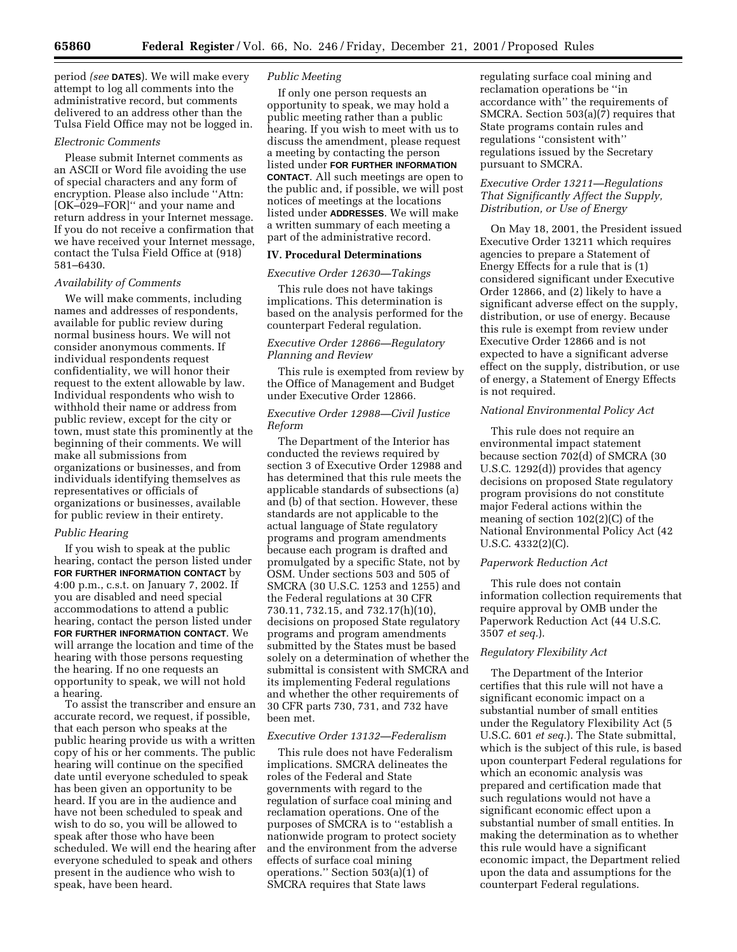period *(see* **DATES**). We will make every attempt to log all comments into the administrative record, but comments delivered to an address other than the Tulsa Field Office may not be logged in.

#### *Electronic Comments*

Please submit Internet comments as an ASCII or Word file avoiding the use of special characters and any form of encryption. Please also include ''Attn: [OK–029–FOR]'' and your name and return address in your Internet message. If you do not receive a confirmation that we have received your Internet message, contact the Tulsa Field Office at (918) 581–6430.

## *Availability of Comments*

We will make comments, including names and addresses of respondents, available for public review during normal business hours. We will not consider anonymous comments. If individual respondents request confidentiality, we will honor their request to the extent allowable by law. Individual respondents who wish to withhold their name or address from public review, except for the city or town, must state this prominently at the beginning of their comments. We will make all submissions from organizations or businesses, and from individuals identifying themselves as representatives or officials of organizations or businesses, available for public review in their entirety.

#### *Public Hearing*

If you wish to speak at the public hearing, contact the person listed under **FOR FURTHER INFORMATION CONTACT** by 4:00 p.m., c.s.t. on January 7, 2002. If you are disabled and need special accommodations to attend a public hearing, contact the person listed under **FOR FURTHER INFORMATION CONTACT**. We will arrange the location and time of the hearing with those persons requesting the hearing. If no one requests an opportunity to speak, we will not hold a hearing.

To assist the transcriber and ensure an accurate record, we request, if possible, that each person who speaks at the public hearing provide us with a written copy of his or her comments. The public hearing will continue on the specified date until everyone scheduled to speak has been given an opportunity to be heard. If you are in the audience and have not been scheduled to speak and wish to do so, you will be allowed to speak after those who have been scheduled. We will end the hearing after everyone scheduled to speak and others present in the audience who wish to speak, have been heard.

## *Public Meeting*

If only one person requests an opportunity to speak, we may hold a public meeting rather than a public hearing. If you wish to meet with us to discuss the amendment, please request a meeting by contacting the person listed under **FOR FURTHER INFORMATION CONTACT**. All such meetings are open to the public and, if possible, we will post notices of meetings at the locations listed under **ADDRESSES**. We will make a written summary of each meeting a part of the administrative record.

## **IV. Procedural Determinations**

#### *Executive Order 12630—Takings*

This rule does not have takings implications. This determination is based on the analysis performed for the counterpart Federal regulation.

## *Executive Order 12866—Regulatory Planning and Review*

This rule is exempted from review by the Office of Management and Budget under Executive Order 12866.

## *Executive Order 12988—Civil Justice Reform*

The Department of the Interior has conducted the reviews required by section 3 of Executive Order 12988 and has determined that this rule meets the applicable standards of subsections (a) and (b) of that section. However, these standards are not applicable to the actual language of State regulatory programs and program amendments because each program is drafted and promulgated by a specific State, not by OSM. Under sections 503 and 505 of SMCRA (30 U.S.C. 1253 and 1255) and the Federal regulations at 30 CFR 730.11, 732.15, and 732.17(h)(10), decisions on proposed State regulatory programs and program amendments submitted by the States must be based solely on a determination of whether the submittal is consistent with SMCRA and its implementing Federal regulations and whether the other requirements of 30 CFR parts 730, 731, and 732 have been met.

#### *Executive Order 13132—Federalism*

This rule does not have Federalism implications. SMCRA delineates the roles of the Federal and State governments with regard to the regulation of surface coal mining and reclamation operations. One of the purposes of SMCRA is to ''establish a nationwide program to protect society and the environment from the adverse effects of surface coal mining operations.'' Section 503(a)(1) of SMCRA requires that State laws

regulating surface coal mining and reclamation operations be ''in accordance with'' the requirements of SMCRA. Section 503(a)(7) requires that State programs contain rules and regulations ''consistent with'' regulations issued by the Secretary pursuant to SMCRA.

# *Executive Order 13211—Regulations That Significantly Affect the Supply, Distribution, or Use of Energy*

On May 18, 2001, the President issued Executive Order 13211 which requires agencies to prepare a Statement of Energy Effects for a rule that is (1) considered significant under Executive Order 12866, and (2) likely to have a significant adverse effect on the supply, distribution, or use of energy. Because this rule is exempt from review under Executive Order 12866 and is not expected to have a significant adverse effect on the supply, distribution, or use of energy, a Statement of Energy Effects is not required.

# *National Environmental Policy Act*

This rule does not require an environmental impact statement because section 702(d) of SMCRA (30 U.S.C. 1292(d)) provides that agency decisions on proposed State regulatory program provisions do not constitute major Federal actions within the meaning of section 102(2)(C) of the National Environmental Policy Act (42 U.S.C. 4332(2)(C).

#### *Paperwork Reduction Act*

This rule does not contain information collection requirements that require approval by OMB under the Paperwork Reduction Act (44 U.S.C. 3507 *et seq.*).

#### *Regulatory Flexibility Act*

The Department of the Interior certifies that this rule will not have a significant economic impact on a substantial number of small entities under the Regulatory Flexibility Act (5 U.S.C. 601 *et seq.*). The State submittal, which is the subject of this rule, is based upon counterpart Federal regulations for which an economic analysis was prepared and certification made that such regulations would not have a significant economic effect upon a substantial number of small entities. In making the determination as to whether this rule would have a significant economic impact, the Department relied upon the data and assumptions for the counterpart Federal regulations.